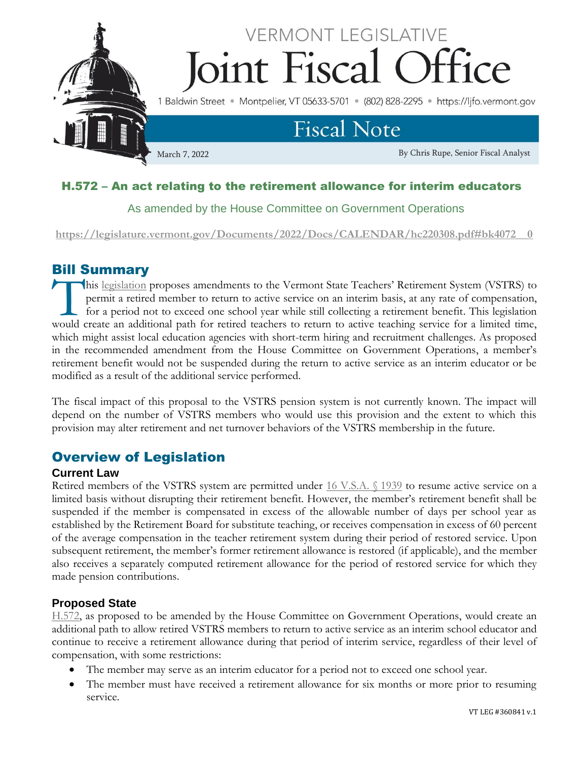

# H.572 – An act relating to the retirement allowance for interim educators

#### As amended by the House Committee on Government Operations

**[https://legislature.vermont.gov/Documents/2022/Docs/CALENDAR/hc220308.pdf#bk4072\\_\\_0](https://legislature.vermont.gov/Documents/2022/Docs/CALENDAR/hc220308.pdf#bk4072__0)**

## Bill Summary

his [legislation](https://legislature.vermont.gov/bill/status/2022/H.572) proposes amendments to the Vermont State Teachers' Retirement System (VSTRS) to permit a retired member to return to active service on an interim basis, at any rate of compensation, for a period not to exceed one school year while still collecting a retirement benefit. This legislation This legislation proposes amendments to the Vermont State Teachers' Retirement System (VSTRS) to permit a retired member to return to active service on an interim basis, at any rate of compensation, for a period not to exc which might assist local education agencies with short-term hiring and recruitment challenges. As proposed in the recommended amendment from the House Committee on Government Operations, a member's retirement benefit would not be suspended during the return to active service as an interim educator or be modified as a result of the additional service performed.

The fiscal impact of this proposal to the VSTRS pension system is not currently known. The impact will depend on the number of VSTRS members who would use this provision and the extent to which this provision may alter retirement and net turnover behaviors of the VSTRS membership in the future.

### Overview of Legislation

#### **Current Law**

Retired members of the VSTRS system are permitted under [16 V.S.A. §](https://legislature.vermont.gov/statutes/section/16/055/01939) 1939 to resume active service on a limited basis without disrupting their retirement benefit. However, the member's retirement benefit shall be suspended if the member is compensated in excess of the allowable number of days per school year as established by the Retirement Board for substitute teaching, or receives compensation in excess of 60 percent of the average compensation in the teacher retirement system during their period of restored service. Upon subsequent retirement, the member's former retirement allowance is restored (if applicable), and the member also receives a separately computed retirement allowance for the period of restored service for which they made pension contributions.

#### **Proposed State**

[H.572,](https://legislature.vermont.gov/bill/status/2022/H.572) as proposed to be amended by the House Committee on Government Operations, would create an additional path to allow retired VSTRS members to return to active service as an interim school educator and continue to receive a retirement allowance during that period of interim service, regardless of their level of compensation, with some restrictions:

- The member may serve as an interim educator for a period not to exceed one school year.
- The member must have received a retirement allowance for six months or more prior to resuming service.